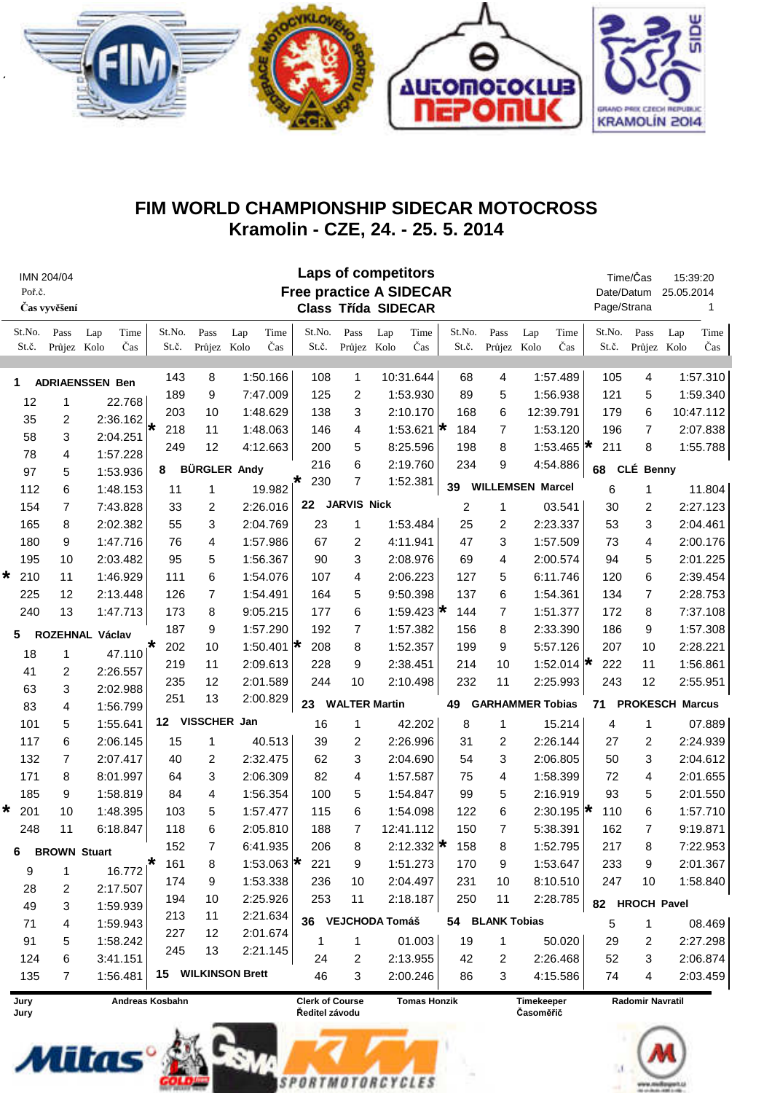

## FIM WORLD CHAMPIONSHIP SIDECAR MOTOCROSS Kramolin - CZE, 24. - 25. 5. 2014

| <b>Laps of competitors</b><br>Time/Čas<br>IMN 204/04<br><b>Free practice A SIDECAR</b><br>Poř.č.<br>Date/Datum<br>Page/Strana<br>Čas vyvěšení<br><b>Class Třída SIDECAR</b> |                     |                    |                 |                     |                    |                                          |                      |                     |                               |                     | 15:39:20<br>25.05.2014<br>1    |                              |                     |                    |
|-----------------------------------------------------------------------------------------------------------------------------------------------------------------------------|---------------------|--------------------|-----------------|---------------------|--------------------|------------------------------------------|----------------------|---------------------|-------------------------------|---------------------|--------------------------------|------------------------------|---------------------|--------------------|
| St.No.<br>St.č.                                                                                                                                                             | Pass<br>Průjez Kolo | Time<br>Lap<br>Čas | St.No.<br>St.č. | Pass<br>Průjez Kolo | Time<br>Lap<br>Čas | St.No.<br>St.č.                          | Pass<br>Průjez Kolo  | Time<br>Lap<br>Čas  | St.No.<br>St.č.               | Pass<br>Průjez Kolo | Time<br>Lap<br>Čas             | St.No.<br>St.č.              | Pass<br>Průjez Kolo | Time<br>Lap<br>Čas |
| <b>ADRIAENSSEN Ben</b><br>1                                                                                                                                                 |                     |                    | 143             | 8                   | 1:50.166           | 108                                      | 1                    | 10:31.644           | 68                            | 4                   | 1:57.489                       | 105                          | 4                   | 1:57.310           |
| 12                                                                                                                                                                          | 1                   | 22.768             | 189             | 9                   | 7:47.009           | 125                                      | 2                    | 1:53.930            | 89                            | 5                   | 1:56.938                       | 121                          | 5                   | 1:59.340           |
| 35                                                                                                                                                                          | 2                   | 2:36.162           | 203             | 10                  | 1:48.629           | 138                                      | 3                    | 2:10.170            | 168                           | 6                   | 12:39.791                      | 179                          | 6                   | 10:47.112          |
| 58                                                                                                                                                                          | 3                   | 2:04.251           | 218<br>₩        | 11                  | 1:48.063           | 146                                      | 4                    | 1:53.621 $\star$    | 184                           | 7                   | 1:53.120                       | 196                          | 7                   | 2:07.838           |
| 78                                                                                                                                                                          | 4                   | 1:57.228           | 249             | 12                  | 4:12.663           | 200                                      | 5                    | 8:25.596            | 198                           | 8                   | 1:53.465 $\star$               | 211                          | 8                   | 1:55.788           |
| 97                                                                                                                                                                          | 5                   | 1:53.936           | 8               | <b>BÜRGLER Andy</b> |                    | 216                                      | 6                    | 2:19.760            | 234                           | 9                   | 4:54.886                       | 68                           | CLÉ Benny           |                    |
| 112                                                                                                                                                                         | 6                   | 1:48.153           | 11              | 1                   | 19.982             | 230                                      | $\overline{7}$       | 1:52.381            | 39                            |                     | <b>WILLEMSEN Marcel</b>        | 6                            | 1                   | 11.804             |
| 154                                                                                                                                                                         | $\overline{7}$      | 7:43.828           | 33              | 2                   | 2:26.016           |                                          | 22 JARVIS Nick       |                     | $\overline{c}$                | 1<br>03.541         |                                | 30                           | 2                   | 2:27.123           |
| 165                                                                                                                                                                         | 8                   | 2:02.382           | 55              | 3                   | 2:04.769           | 23                                       | 1                    | 1:53.484            | 25                            | 2                   | 2:23.337                       | 53                           | 3                   | 2:04.461           |
| 180                                                                                                                                                                         | 9                   | 1:47.716           | 76              | 4                   | 1:57.986           | 67                                       | 2                    | 4:11.941            | 47                            | 3                   | 1:57.509                       | 73                           | 4                   | 2:00.176           |
|                                                                                                                                                                             |                     | 2:03.482           | 95              | 5                   |                    | 90                                       |                      |                     | 69                            | 4                   | 2:00.574                       | 94                           |                     | 2:01.225           |
| 195                                                                                                                                                                         | 10                  |                    |                 |                     | 1:56.367           |                                          | 3                    | 2:08.976            |                               |                     |                                |                              | 5                   |                    |
| 210<br>*                                                                                                                                                                    | 11                  | 1:46.929           | 111             | 6                   | 1:54.076           | 107                                      | 4                    | 2:06.223            | 127                           | 5                   | 6:11.746                       | 120                          | 6                   | 2:39.454           |
| 225                                                                                                                                                                         | 12                  | 2:13.448           | 126             | $\overline{7}$      | 1:54.491           | 164                                      | 5                    | 9:50.398            | 137                           | 6                   | 1:54.361                       | 134                          | $\overline{7}$      | 2:28.753           |
| 240                                                                                                                                                                         | 13                  | 1:47.713           | 173             | 8                   | 9:05.215           | 177                                      | 6                    | 1:59.423 $\star$    | 144                           | $\overline{7}$      | 1:51.377                       | 172                          | 8                   | 7:37.108           |
| 5                                                                                                                                                                           |                     | ROZEHNAL Václav    | 187             | 9                   | 1:57.290           | 192                                      | $\overline{7}$       | 1:57.382            | 156                           | 8                   | 2:33.390                       | 186                          | 9                   | 1:57.308           |
| 18                                                                                                                                                                          | 1                   | $47.110^{*}$       | 202             | 10                  | 1:50.401 $\star$   | 208                                      | 8                    | 1:52.357            | 199                           | 9                   | 5:57.126                       | 207                          | 10                  | 2:28.221           |
| 41                                                                                                                                                                          | $\overline{2}$      | 2:26.557           | 219             | 11                  | 2:09.613           | 228                                      | 9                    | 2:38.451            | 214                           | 10                  | 1:52.014 $\star$               | 222                          | 11                  | 1:56.861           |
| 63                                                                                                                                                                          | 3                   | 2:02.988           | 235             | 12                  | 2:01.589           | 244                                      | 10                   | 2:10.498            | 232                           | 11                  | 2:25.993                       | 243                          | 12                  | 2:55.951           |
| 83                                                                                                                                                                          | 4                   | 1:56.799           | 251             | 13                  | 2:00.829           | 23                                       | <b>WALTER Martin</b> |                     | 49<br><b>GARHAMMER Tobias</b> |                     |                                | 71<br><b>PROKESCH Marcus</b> |                     |                    |
| 101                                                                                                                                                                         | 5                   | 1:55.641           |                 | 12 VISSCHER Jan     |                    | 16                                       | 1                    | 42.202              | 8                             | 1                   | 15.214                         | 4                            | 1                   | 07.889             |
| 117                                                                                                                                                                         | 6                   | 2:06.145           | 15              | 1                   | 40.513             | 39                                       | 2                    | 2:26.996            | 31                            | 2                   | 2:26.144                       | 27                           | 2                   | 2:24.939           |
| 132                                                                                                                                                                         | 7                   | 2:07.417           | 40              | 2                   | 2:32.475           | 62                                       | 3                    | 2:04.690            | 54                            | 3                   | 2:06.805                       | 50                           | 3                   | 2:04.612           |
| 171                                                                                                                                                                         | 8                   | 8:01.997           | 64              | 3                   | 2:06.309           | 82                                       | 4                    | 1:57.587            | 75                            | 4                   | 1:58.399                       | 72                           | 4                   | 2:01.655           |
| 185                                                                                                                                                                         | 9                   | 1:58.819           | 84              | 4                   | 1:56.354           | 100                                      | 5                    | 1:54.847            | 99                            | 5                   | 2:16.919                       | 93                           | 5                   | 2:01.550           |
| 201<br>*                                                                                                                                                                    | 10                  | 1:48.395           | 103             | 5                   | 1:57.477           | 115                                      | 6                    | 1:54.098            | 122                           | 6                   | 2:30.195 $\star$               | 110                          | 6                   | 1:57.710           |
| 248                                                                                                                                                                         | 11                  | 6:18.847           | 118             | 6                   | 2:05.810           | 188                                      | $\overline{7}$       | 12:41.112           | 150                           | $\overline{7}$      | 5:38.391                       | 162                          | 7                   | 9:19.871           |
|                                                                                                                                                                             |                     |                    | 152             | 7                   | 6:41.935           | 206                                      | 8                    | 2:12.332 $\star$    | 158                           | 8                   | 1:52.795                       | 217                          | 8                   | 7:22.953           |
| 6                                                                                                                                                                           | <b>BROWN Stuart</b> |                    | 161             | 8                   | 1:53.063 $\star$   | 221                                      | 9                    | 1:51.273            | 170                           | 9                   | 1:53.647                       | 233                          | 9                   | 2:01.367           |
| 9                                                                                                                                                                           | 1                   | 16.772 $\vert^*$   | 174             | 9                   | 1:53.338           | 236                                      | 10                   | 2:04.497            | 231                           | 10                  | 8:10.510                       | 247                          | 10                  | 1:58.840           |
| 28                                                                                                                                                                          | 2                   | 2:17.507           | 194             | 10                  | 2:25.926           | 253                                      | 11                   | 2:18.187            | 250                           | 11                  | 2:28.785                       |                              |                     |                    |
| 49                                                                                                                                                                          | 3                   | 1:59.939           | 213             | 11                  | 2:21.634           |                                          |                      |                     |                               |                     |                                | 82 HROCH Pavel               |                     |                    |
| 71                                                                                                                                                                          | 4                   | 1:59.943           | 227             | 12                  | 2:01.674           |                                          |                      | 36 VEJCHODA Tomáš   |                               | 54 BLANK Tobias     |                                | 5                            | 1                   | 08.469             |
| 91                                                                                                                                                                          | 5                   | 1:58.242           | 245             | 13                  | 2:21.145           | 1                                        | 1                    | 01.003              | 19                            | 1                   | 50.020                         | 29                           | 2                   | 2:27.298           |
| 124                                                                                                                                                                         | 6                   | 3:41.151           |                 |                     |                    | 24                                       | 2                    | 2:13.955            | 42                            | 2                   | 2:26.468                       | 52                           | 3                   | 2:06.874           |
| 135                                                                                                                                                                         | 7                   | 1:56.481           |                 | 15 WILKINSON Brett  |                    | 46                                       | 3                    | 2:00.246            | 86                            | 3                   | 4:15.586                       | 74                           | 4                   | 2:03.459           |
| Jury<br>Jury                                                                                                                                                                |                     |                    | Andreas Kosbahn |                     |                    | <b>Clerk of Course</b><br>Ředitel závodu |                      | <b>Tomas Honzik</b> |                               |                     | <b>Timekeeper</b><br>Časoměřič | <b>Radomir Navratil</b>      |                     |                    |

**SPORTMOTORCYCLES**